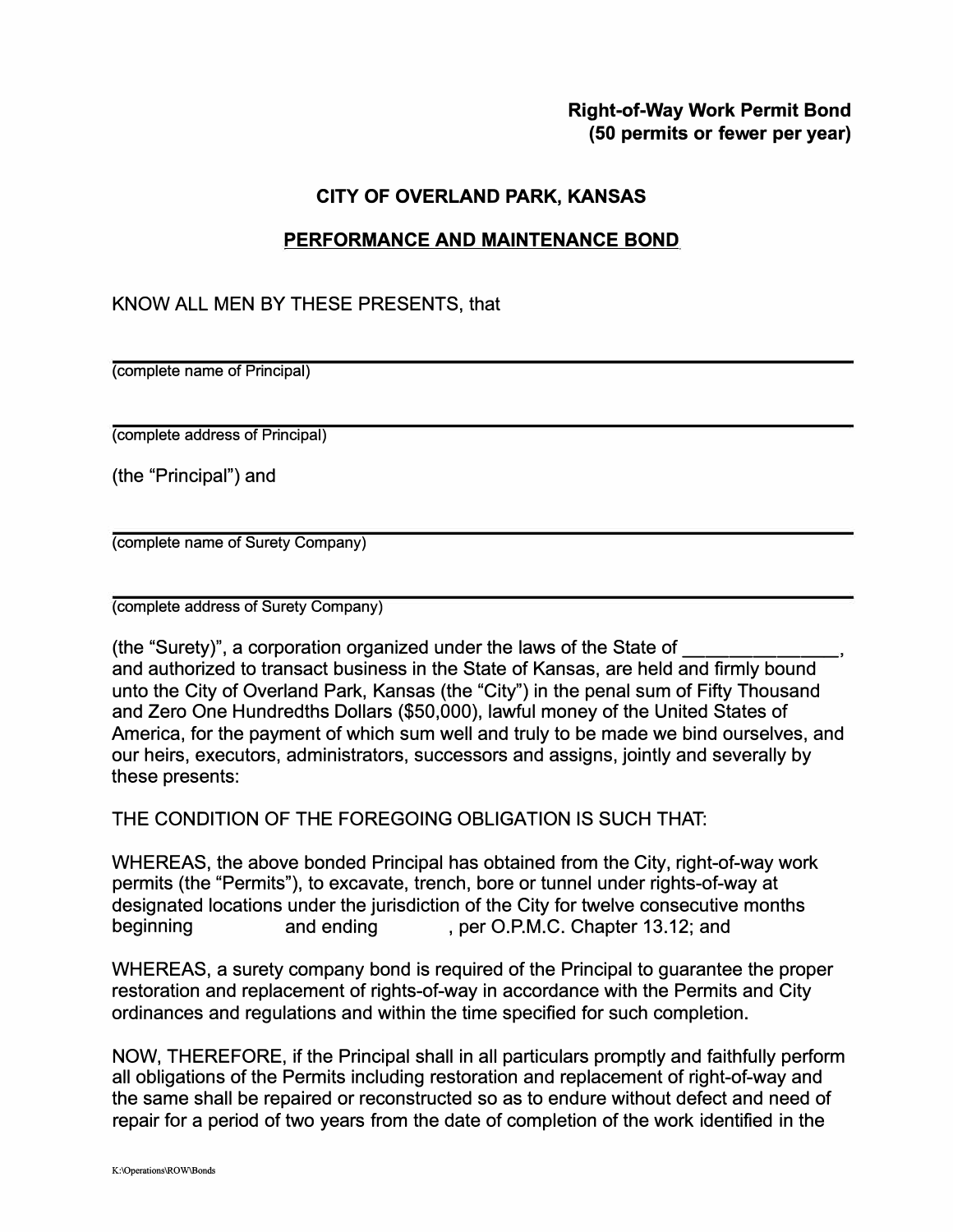## **Right-of-Way Work Permit Bond (50 permits or fewer per year)**

## **CITY OF OVERLAND PARK, KANSAS**

## **PERFORMANCE AND MAINTENANCE BOND**

## KNOW ALL MEN BY THESE PRESENTS, that

(complete name of Principal)

(complete address of Principal)

(the "Principal") and

(complete name of Surety Company)

(complete address of Surety Company)

(the "Surety)", a corporation organized under the laws of the State of \_\_\_\_\_\_ \_ and authorized to transact business in the State of Kansas, are held and firmly bound unto the City of Overland Park, Kansas (the "City") in the penal sum of Fifty Thousand and Zero One Hundredths Dollars (\$50,000), lawful money of the United States of America, for the payment of which sum well and truly to be made we bind ourselves, and our heirs, executors, administrators, successors and assigns, jointly and severally by these presents:

THE CONDITION OF THE FOREGOING OBLIGATION IS SUCH THAT:

WHEREAS, the above bonded Principal has obtained from the City, right-of-way work permits (the "Permits"), to excavate, trench, bore or tunnel under rights-of-way at designated locations under the jurisdiction of the City for twelve consecutive months beginning and ending , per O.P.M.C. Chapter 13.12; and

WHEREAS, a surety company bond is required of the Principal to guarantee the proper restoration and replacement of rights-of-way in accordance with the Permits and City ordinances and regulations and within the time specified for such completion.

NOW, THEREFORE, if the Principal shall in all particulars promptly and faithfully perform all obligations of the Permits including restoration and replacement of right-of-way and the same shall be repaired or reconstructed so as to endure without defect and need of repair for a period of two years from the date of completion of the work identified in the